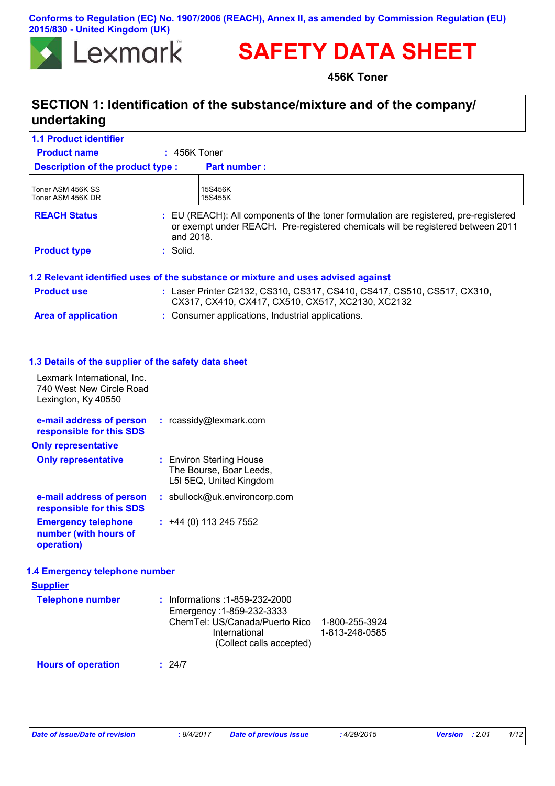#### **Conforms to Regulation (EC) No. 1907/2006 (REACH), Annex II, as amended by Commission Regulation (EU) 2015/830 - United Kingdom (UK)**



# **SAFETY DATA SHEET**

**456K Toner**

## **SECTION 1: Identification of the substance/mixture and of the company/ undertaking**

| <b>1.1 Product identifier</b>                                                  |                                                                                                                                                                                      |  |  |
|--------------------------------------------------------------------------------|--------------------------------------------------------------------------------------------------------------------------------------------------------------------------------------|--|--|
| <b>Product name</b>                                                            | $: 456K$ Toner                                                                                                                                                                       |  |  |
| <b>Description of the product type:</b>                                        | <b>Part number:</b>                                                                                                                                                                  |  |  |
| Toner ASM 456K SS<br>Toner ASM 456K DR                                         | 15S456K<br>15S455K                                                                                                                                                                   |  |  |
| <b>REACH Status</b>                                                            | : EU (REACH): All components of the toner formulation are registered, pre-registered<br>or exempt under REACH. Pre-registered chemicals will be registered between 2011<br>and 2018. |  |  |
| <b>Product type</b>                                                            | : Solid.                                                                                                                                                                             |  |  |
|                                                                                | 1.2 Relevant identified uses of the substance or mixture and uses advised against                                                                                                    |  |  |
| <b>Product use</b>                                                             | : Laser Printer C2132, CS310, CS317, CS410, CS417, CS510, CS517, CX310,<br>CX317, CX410, CX417, CX510, CX517, XC2130, XC2132                                                         |  |  |
| <b>Area of application</b>                                                     | : Consumer applications, Industrial applications.                                                                                                                                    |  |  |
| 1.3 Details of the supplier of the safety data sheet                           |                                                                                                                                                                                      |  |  |
| Lexmark International, Inc.<br>740 West New Circle Road<br>Lexington, Ky 40550 |                                                                                                                                                                                      |  |  |
| e-mail address of person<br>responsible for this SDS                           | : rcassidy@lexmark.com                                                                                                                                                               |  |  |
| <b>Only representative</b>                                                     |                                                                                                                                                                                      |  |  |
| <b>Only representative</b>                                                     | : Environ Sterling House<br>The Bourse, Boar Leeds,<br>L5I 5EQ, United Kingdom                                                                                                       |  |  |
| e-mail address of person<br>responsible for this SDS                           | : sbullock@uk.environcorp.com                                                                                                                                                        |  |  |
| <b>Emergency telephone</b><br>number (with hours of<br>operation)              | $: +44(0)1132457552$                                                                                                                                                                 |  |  |
| 1.4 Emergency telephone number                                                 |                                                                                                                                                                                      |  |  |
| <b>Supplier</b>                                                                |                                                                                                                                                                                      |  |  |
| <b>Telephone number</b>                                                        | : Informations : 1-859-232-2000<br>Emergency: 1-859-232-3333<br>ChemTel: US/Canada/Puerto Rico<br>1-800-255-3924<br>International<br>1-813-248-0585<br>(Collect calls accepted)      |  |  |
| <b>Hours of operation</b>                                                      | : 24/7                                                                                                                                                                               |  |  |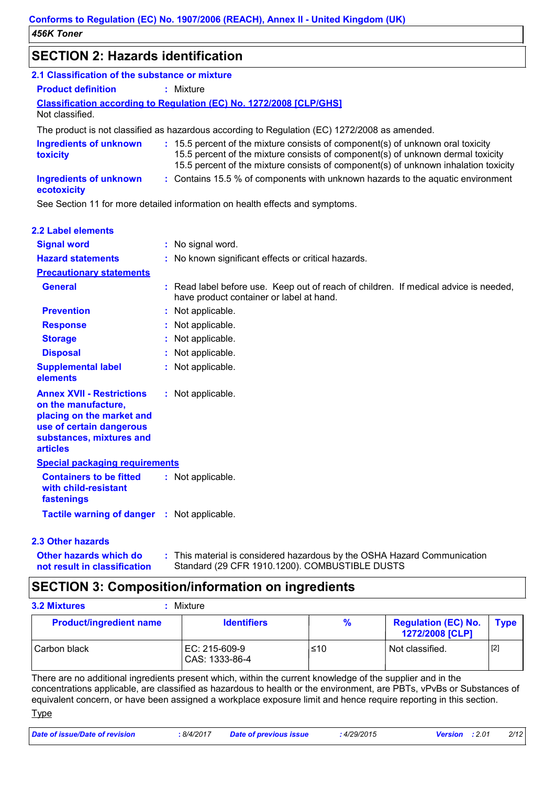## **SECTION 2: Hazards identification**

| ULUTTUR 4. HAZARJO RUHINI IUANU                                                                                                                                 |                                                                                                                                                                                                                                                           |
|-----------------------------------------------------------------------------------------------------------------------------------------------------------------|-----------------------------------------------------------------------------------------------------------------------------------------------------------------------------------------------------------------------------------------------------------|
| 2.1 Classification of the substance or mixture                                                                                                                  |                                                                                                                                                                                                                                                           |
| <b>Product definition</b>                                                                                                                                       | : Mixture                                                                                                                                                                                                                                                 |
| Not classified.                                                                                                                                                 | <b>Classification according to Regulation (EC) No. 1272/2008 [CLP/GHS]</b>                                                                                                                                                                                |
|                                                                                                                                                                 | The product is not classified as hazardous according to Regulation (EC) 1272/2008 as amended.                                                                                                                                                             |
| <b>Ingredients of unknown</b><br>toxicity                                                                                                                       | : 15.5 percent of the mixture consists of component(s) of unknown oral toxicity<br>15.5 percent of the mixture consists of component(s) of unknown dermal toxicity<br>15.5 percent of the mixture consists of component(s) of unknown inhalation toxicity |
| <b>Ingredients of unknown</b><br>ecotoxicity                                                                                                                    | : Contains 15.5 % of components with unknown hazards to the aquatic environment                                                                                                                                                                           |
|                                                                                                                                                                 | See Section 11 for more detailed information on health effects and symptoms.                                                                                                                                                                              |
| <b>2.2 Label elements</b>                                                                                                                                       |                                                                                                                                                                                                                                                           |
| <b>Signal word</b>                                                                                                                                              | : No signal word.                                                                                                                                                                                                                                         |
| <b>Hazard statements</b>                                                                                                                                        | : No known significant effects or critical hazards.                                                                                                                                                                                                       |
| <b>Precautionary statements</b>                                                                                                                                 |                                                                                                                                                                                                                                                           |
| <b>General</b>                                                                                                                                                  | Read label before use. Keep out of reach of children. If medical advice is needed,<br>have product container or label at hand.                                                                                                                            |
| <b>Prevention</b>                                                                                                                                               | : Not applicable.                                                                                                                                                                                                                                         |
| <b>Response</b>                                                                                                                                                 | Not applicable.                                                                                                                                                                                                                                           |
| <b>Storage</b>                                                                                                                                                  | Not applicable.                                                                                                                                                                                                                                           |
| <b>Disposal</b>                                                                                                                                                 | Not applicable.                                                                                                                                                                                                                                           |
| <b>Supplemental label</b><br>elements                                                                                                                           | Not applicable.                                                                                                                                                                                                                                           |
| <b>Annex XVII - Restrictions</b><br>on the manufacture,<br>placing on the market and<br>use of certain dangerous<br>substances, mixtures and<br><b>articles</b> | : Not applicable.                                                                                                                                                                                                                                         |
| <b>Special packaging requirements</b>                                                                                                                           |                                                                                                                                                                                                                                                           |
| <b>Containers to be fitted</b><br>with child-resistant<br>fastenings                                                                                            | : Not applicable.                                                                                                                                                                                                                                         |
| Tactile warning of danger : Not applicable.                                                                                                                     |                                                                                                                                                                                                                                                           |

#### **2.3 Other hazards**

**Other hazards which do : not result in classification** This material is considered hazardous by the OSHA Hazard Communication Standard (29 CFR 1910.1200). COMBUSTIBLE DUSTS

### **SECTION 3: Composition/information on ingredients**

| <b>3.2 Mixtures</b><br>Mixture |                                 |      |                                               |             |  |
|--------------------------------|---------------------------------|------|-----------------------------------------------|-------------|--|
| <b>Product/ingredient name</b> | <b>Identifiers</b>              | $\%$ | <b>Regulation (EC) No.</b><br>1272/2008 [CLP] | <b>Type</b> |  |
| Carbon black                   | EC: 215-609-9<br>CAS: 1333-86-4 | ≤10  | Not classified.                               | $[2]$       |  |

There are no additional ingredients present which, within the current knowledge of the supplier and in the concentrations applicable, are classified as hazardous to health or the environment, are PBTs, vPvBs or Substances of equivalent concern, or have been assigned a workplace exposure limit and hence require reporting in this section.

**Type** 

| Date of issue/Date of revision | 8/4/2017 | <b>Date of previous issue</b> | 4/29/2015 | <b>Version</b> : 2.01 | 2/12 |
|--------------------------------|----------|-------------------------------|-----------|-----------------------|------|
|                                |          |                               |           |                       |      |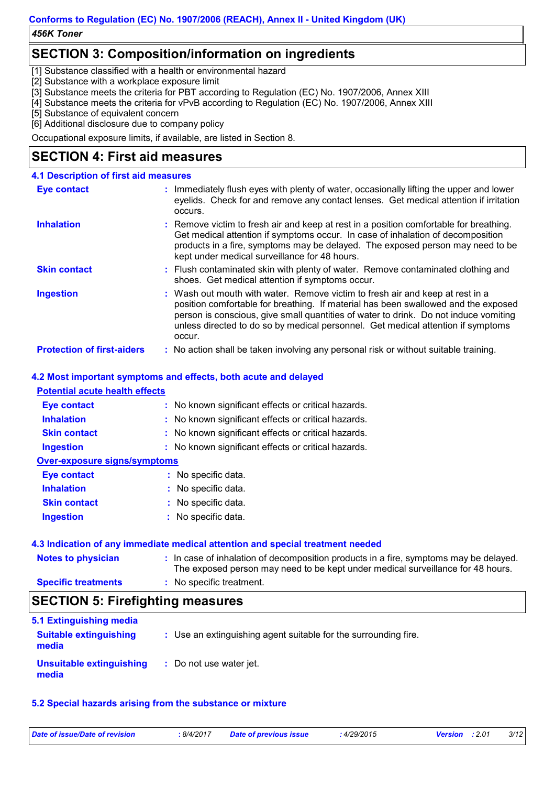## **SECTION 3: Composition/information on ingredients**

[1] Substance classified with a health or environmental hazard

[2] Substance with a workplace exposure limit

[3] Substance meets the criteria for PBT according to Regulation (EC) No. 1907/2006, Annex XIII

[4] Substance meets the criteria for vPvB according to Regulation (EC) No. 1907/2006, Annex XIII

[5] Substance of equivalent concern

[6] Additional disclosure due to company policy

Occupational exposure limits, if available, are listed in Section 8.

## **SECTION 4: First aid measures**

| 4.1 Description of first aid measures |                                                                                                                                                                                                                                                                                                                                                           |
|---------------------------------------|-----------------------------------------------------------------------------------------------------------------------------------------------------------------------------------------------------------------------------------------------------------------------------------------------------------------------------------------------------------|
| <b>Eye contact</b>                    | : Immediately flush eyes with plenty of water, occasionally lifting the upper and lower<br>eyelids. Check for and remove any contact lenses. Get medical attention if irritation<br>occurs.                                                                                                                                                               |
| <b>Inhalation</b>                     | : Remove victim to fresh air and keep at rest in a position comfortable for breathing.<br>Get medical attention if symptoms occur. In case of inhalation of decomposition<br>products in a fire, symptoms may be delayed. The exposed person may need to be<br>kept under medical surveillance for 48 hours.                                              |
| <b>Skin contact</b>                   | : Flush contaminated skin with plenty of water. Remove contaminated clothing and<br>shoes. Get medical attention if symptoms occur.                                                                                                                                                                                                                       |
| <b>Ingestion</b>                      | : Wash out mouth with water. Remove victim to fresh air and keep at rest in a<br>position comfortable for breathing. If material has been swallowed and the exposed<br>person is conscious, give small quantities of water to drink. Do not induce vomiting<br>unless directed to do so by medical personnel. Get medical attention if symptoms<br>occur. |
| <b>Protection of first-aiders</b>     | : No action shall be taken involving any personal risk or without suitable training.                                                                                                                                                                                                                                                                      |

#### **4.2 Most important symptoms and effects, both acute and delayed**

#### **Potential acute health effects**

| <b>Eye contact</b>                  | : No known significant effects or critical hazards. |
|-------------------------------------|-----------------------------------------------------|
| <b>Inhalation</b>                   | : No known significant effects or critical hazards. |
| <b>Skin contact</b>                 | : No known significant effects or critical hazards. |
| <b>Ingestion</b>                    | : No known significant effects or critical hazards. |
| <b>Over-exposure signs/symptoms</b> |                                                     |
| Eye contact                         | : No specific data.                                 |
| <b>Inhalation</b>                   | : No specific data.                                 |
| <b>Skin contact</b>                 | : No specific data.                                 |
| <b>Ingestion</b>                    | : No specific data.                                 |

#### **4.3 Indication of any immediate medical attention and special treatment needed**

| <b>Notes to physician</b>  | : In case of inhalation of decomposition products in a fire, symptoms may be delayed.<br>The exposed person may need to be kept under medical surveillance for 48 hours. |
|----------------------------|--------------------------------------------------------------------------------------------------------------------------------------------------------------------------|
| <b>Specific treatments</b> | : No specific treatment.                                                                                                                                                 |

## **SECTION 5: Firefighting measures**

| 5.1 Extinguishing media                |                                                                 |
|----------------------------------------|-----------------------------------------------------------------|
| <b>Suitable extinguishing</b><br>media | : Use an extinguishing agent suitable for the surrounding fire. |
| Unsuitable extinguishing<br>media      | : Do not use water jet.                                         |

#### **5.2 Special hazards arising from the substance or mixture**

| Date of issue/Date of revision | 8/4/2017 | <b>Date of previous issue</b> | : 4/29/2015 | 3/12<br><b>Version</b> : 2.01 |
|--------------------------------|----------|-------------------------------|-------------|-------------------------------|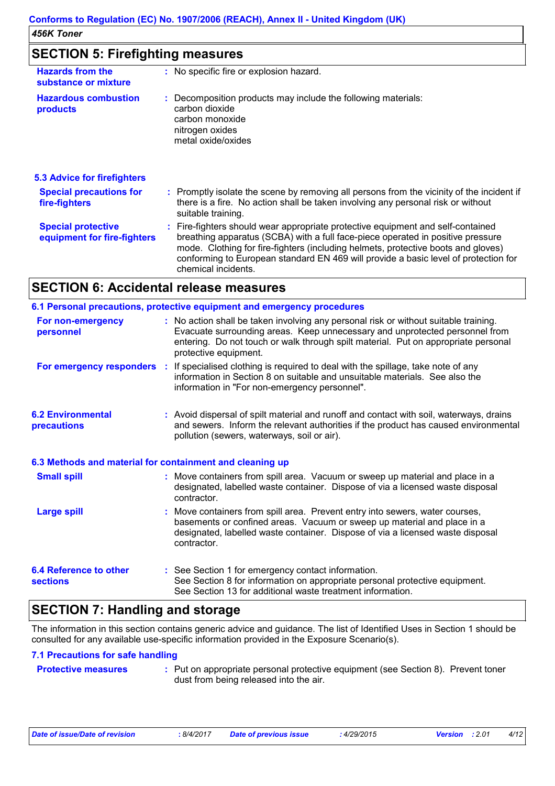### **SECTION 5: Firefighting measures**

| : No specific fire or explosion hazard.                                                                                                                                                                                                                                                                                                                               |  |
|-----------------------------------------------------------------------------------------------------------------------------------------------------------------------------------------------------------------------------------------------------------------------------------------------------------------------------------------------------------------------|--|
| : Decomposition products may include the following materials:<br>carbon dioxide<br>carbon monoxide<br>nitrogen oxides<br>metal oxide/oxides                                                                                                                                                                                                                           |  |
|                                                                                                                                                                                                                                                                                                                                                                       |  |
| : Promptly isolate the scene by removing all persons from the vicinity of the incident if<br>there is a fire. No action shall be taken involving any personal risk or without<br>suitable training.                                                                                                                                                                   |  |
| : Fire-fighters should wear appropriate protective equipment and self-contained<br>breathing apparatus (SCBA) with a full face-piece operated in positive pressure<br>mode. Clothing for fire-fighters (including helmets, protective boots and gloves)<br>conforming to European standard EN 469 will provide a basic level of protection for<br>chemical incidents. |  |
|                                                                                                                                                                                                                                                                                                                                                                       |  |

### **SECTION 6: Accidental release measures**

|                                                          | 6.1 Personal precautions, protective equipment and emergency procedures                                                                                                                                                                                                            |  |
|----------------------------------------------------------|------------------------------------------------------------------------------------------------------------------------------------------------------------------------------------------------------------------------------------------------------------------------------------|--|
| For non-emergency<br>personnel                           | : No action shall be taken involving any personal risk or without suitable training.<br>Evacuate surrounding areas. Keep unnecessary and unprotected personnel from<br>entering. Do not touch or walk through spilt material. Put on appropriate personal<br>protective equipment. |  |
|                                                          | For emergency responders : If specialised clothing is required to deal with the spillage, take note of any<br>information in Section 8 on suitable and unsuitable materials. See also the<br>information in "For non-emergency personnel".                                         |  |
| <b>6.2 Environmental</b><br>precautions                  | : Avoid dispersal of spilt material and runoff and contact with soil, waterways, drains<br>and sewers. Inform the relevant authorities if the product has caused environmental<br>pollution (sewers, waterways, soil or air).                                                      |  |
| 6.3 Methods and material for containment and cleaning up |                                                                                                                                                                                                                                                                                    |  |
| <b>Small spill</b>                                       | : Move containers from spill area. Vacuum or sweep up material and place in a<br>designated, labelled waste container. Dispose of via a licensed waste disposal<br>contractor.                                                                                                     |  |
| <b>Large spill</b>                                       | : Move containers from spill area. Prevent entry into sewers, water courses,<br>basements or confined areas. Vacuum or sweep up material and place in a<br>designated, labelled waste container. Dispose of via a licensed waste disposal<br>contractor.                           |  |
| <b>6.4 Reference to other</b><br><b>sections</b>         | : See Section 1 for emergency contact information.<br>See Section 8 for information on appropriate personal protective equipment.<br>See Section 13 for additional waste treatment information.                                                                                    |  |
|                                                          | the contract of the contract of the contract of the contract of the contract of the contract of the contract of the contract of the contract of the contract of the contract of the contract of the contract of the contract o                                                     |  |

## **SECTION 7: Handling and storage**

The information in this section contains generic advice and guidance. The list of Identified Uses in Section 1 should be consulted for any available use-specific information provided in the Exposure Scenario(s).

#### **7.1 Precautions for safe handling**

|  | <b>Protective measure</b> |
|--|---------------------------|
|  |                           |

**Pres** : Put on appropriate personal protective equipment (see Section 8). Prevent toner dust from being released into the air.

|  | Date of issue/Date of revision |  |  |
|--|--------------------------------|--|--|
|  |                                |  |  |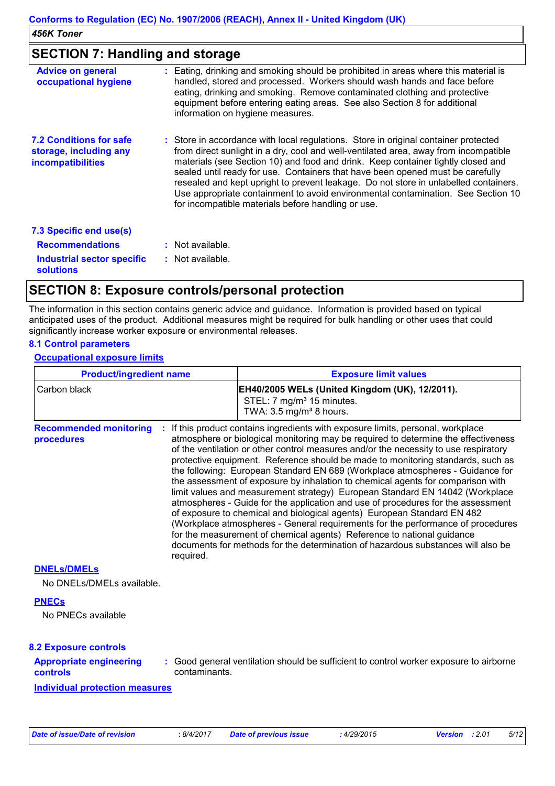### **SECTION 7: Handling and storage**

| <b>Advice on general</b><br>occupational hygiene                                     | : Eating, drinking and smoking should be prohibited in areas where this material is<br>handled, stored and processed. Workers should wash hands and face before<br>eating, drinking and smoking. Remove contaminated clothing and protective<br>equipment before entering eating areas. See also Section 8 for additional<br>information on hygiene measures.                                                                                                                                                                                                                       |
|--------------------------------------------------------------------------------------|-------------------------------------------------------------------------------------------------------------------------------------------------------------------------------------------------------------------------------------------------------------------------------------------------------------------------------------------------------------------------------------------------------------------------------------------------------------------------------------------------------------------------------------------------------------------------------------|
| <b>7.2 Conditions for safe</b><br>storage, including any<br><b>incompatibilities</b> | : Store in accordance with local regulations. Store in original container protected<br>from direct sunlight in a dry, cool and well-ventilated area, away from incompatible<br>materials (see Section 10) and food and drink. Keep container tightly closed and<br>sealed until ready for use. Containers that have been opened must be carefully<br>resealed and kept upright to prevent leakage. Do not store in unlabelled containers.<br>Use appropriate containment to avoid environmental contamination. See Section 10<br>for incompatible materials before handling or use. |
| 7.3 Specific end use(s)                                                              |                                                                                                                                                                                                                                                                                                                                                                                                                                                                                                                                                                                     |
| <b>Recommendations</b>                                                               | $:$ Not available.                                                                                                                                                                                                                                                                                                                                                                                                                                                                                                                                                                  |
| <b>Industrial sector specific</b><br><b>solutions</b>                                | $:$ Not available.                                                                                                                                                                                                                                                                                                                                                                                                                                                                                                                                                                  |

## **SECTION 8: Exposure controls/personal protection**

The information in this section contains generic advice and guidance. Information is provided based on typical anticipated uses of the product. Additional measures might be required for bulk handling or other uses that could significantly increase worker exposure or environmental releases.

#### **8.1 Control parameters**

 $\mathbf{r}$ 

#### **Occupational exposure limits**

| <b>Product/ingredient name</b>                           |               | <b>Exposure limit values</b>                                                                                                                                                                                                                                                                                                                                                                                                                                                                                                                                                                                                                                                                                                                                                                                                                                                                                                                                                                                        |  |  |
|----------------------------------------------------------|---------------|---------------------------------------------------------------------------------------------------------------------------------------------------------------------------------------------------------------------------------------------------------------------------------------------------------------------------------------------------------------------------------------------------------------------------------------------------------------------------------------------------------------------------------------------------------------------------------------------------------------------------------------------------------------------------------------------------------------------------------------------------------------------------------------------------------------------------------------------------------------------------------------------------------------------------------------------------------------------------------------------------------------------|--|--|
| Carbon black                                             |               | EH40/2005 WELs (United Kingdom (UK), 12/2011).<br>STEL: 7 mg/m <sup>3</sup> 15 minutes.<br>TWA: 3.5 mg/m <sup>3</sup> 8 hours.                                                                                                                                                                                                                                                                                                                                                                                                                                                                                                                                                                                                                                                                                                                                                                                                                                                                                      |  |  |
| <b>Recommended monitoring</b><br>procedures<br>required. |               | If this product contains ingredients with exposure limits, personal, workplace<br>atmosphere or biological monitoring may be required to determine the effectiveness<br>of the ventilation or other control measures and/or the necessity to use respiratory<br>protective equipment. Reference should be made to monitoring standards, such as<br>the following: European Standard EN 689 (Workplace atmospheres - Guidance for<br>the assessment of exposure by inhalation to chemical agents for comparison with<br>limit values and measurement strategy) European Standard EN 14042 (Workplace<br>atmospheres - Guide for the application and use of procedures for the assessment<br>of exposure to chemical and biological agents) European Standard EN 482<br>(Workplace atmospheres - General requirements for the performance of procedures<br>for the measurement of chemical agents) Reference to national guidance<br>documents for methods for the determination of hazardous substances will also be |  |  |
| <b>DNELS/DMELS</b>                                       |               |                                                                                                                                                                                                                                                                                                                                                                                                                                                                                                                                                                                                                                                                                                                                                                                                                                                                                                                                                                                                                     |  |  |
| No DNELs/DMELs available.                                |               |                                                                                                                                                                                                                                                                                                                                                                                                                                                                                                                                                                                                                                                                                                                                                                                                                                                                                                                                                                                                                     |  |  |
| <b>PNECs</b>                                             |               |                                                                                                                                                                                                                                                                                                                                                                                                                                                                                                                                                                                                                                                                                                                                                                                                                                                                                                                                                                                                                     |  |  |
| No PNECs available                                       |               |                                                                                                                                                                                                                                                                                                                                                                                                                                                                                                                                                                                                                                                                                                                                                                                                                                                                                                                                                                                                                     |  |  |
| <b>8.2 Exposure controls</b>                             |               |                                                                                                                                                                                                                                                                                                                                                                                                                                                                                                                                                                                                                                                                                                                                                                                                                                                                                                                                                                                                                     |  |  |
| <b>Appropriate engineering</b><br>controls               | contaminants. | : Good general ventilation should be sufficient to control worker exposure to airborne                                                                                                                                                                                                                                                                                                                                                                                                                                                                                                                                                                                                                                                                                                                                                                                                                                                                                                                              |  |  |
|                                                          |               |                                                                                                                                                                                                                                                                                                                                                                                                                                                                                                                                                                                                                                                                                                                                                                                                                                                                                                                                                                                                                     |  |  |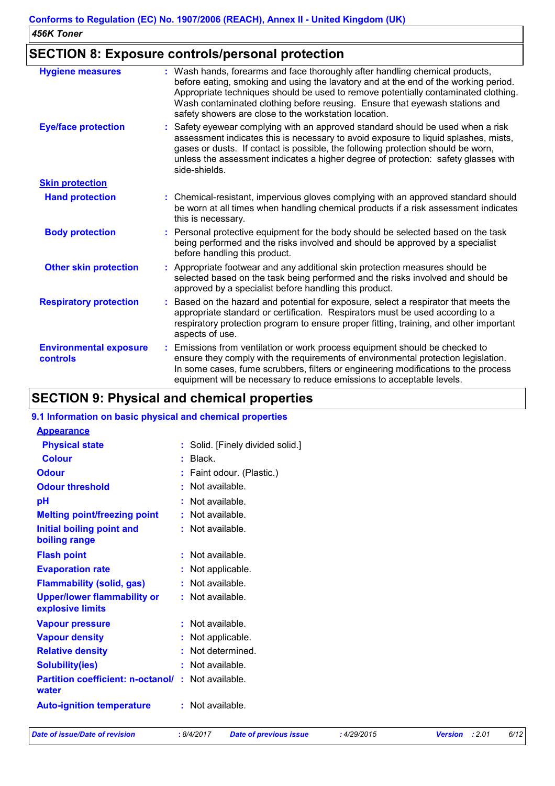## **SECTION 8: Exposure controls/personal protection**

| <b>Hygiene measures</b>                   | : Wash hands, forearms and face thoroughly after handling chemical products,<br>before eating, smoking and using the lavatory and at the end of the working period.<br>Appropriate techniques should be used to remove potentially contaminated clothing.<br>Wash contaminated clothing before reusing. Ensure that eyewash stations and<br>safety showers are close to the workstation location. |
|-------------------------------------------|---------------------------------------------------------------------------------------------------------------------------------------------------------------------------------------------------------------------------------------------------------------------------------------------------------------------------------------------------------------------------------------------------|
| <b>Eye/face protection</b>                | Safety eyewear complying with an approved standard should be used when a risk<br>assessment indicates this is necessary to avoid exposure to liquid splashes, mists,<br>gases or dusts. If contact is possible, the following protection should be worn,<br>unless the assessment indicates a higher degree of protection: safety glasses with<br>side-shields.                                   |
| <b>Skin protection</b>                    |                                                                                                                                                                                                                                                                                                                                                                                                   |
| <b>Hand protection</b>                    | : Chemical-resistant, impervious gloves complying with an approved standard should<br>be worn at all times when handling chemical products if a risk assessment indicates<br>this is necessary.                                                                                                                                                                                                   |
| <b>Body protection</b>                    | Personal protective equipment for the body should be selected based on the task<br>being performed and the risks involved and should be approved by a specialist<br>before handling this product.                                                                                                                                                                                                 |
| <b>Other skin protection</b>              | Appropriate footwear and any additional skin protection measures should be<br>selected based on the task being performed and the risks involved and should be<br>approved by a specialist before handling this product.                                                                                                                                                                           |
| <b>Respiratory protection</b>             | Based on the hazard and potential for exposure, select a respirator that meets the<br>appropriate standard or certification. Respirators must be used according to a<br>respiratory protection program to ensure proper fitting, training, and other important<br>aspects of use.                                                                                                                 |
| <b>Environmental exposure</b><br>controls | Emissions from ventilation or work process equipment should be checked to<br>ensure they comply with the requirements of environmental protection legislation.<br>In some cases, fume scrubbers, filters or engineering modifications to the process<br>equipment will be necessary to reduce emissions to acceptable levels.                                                                     |

## **SECTION 9: Physical and chemical properties**

#### **9.1 Information on basic physical and chemical properties**

| <b>Appearance</b>                                      |    |                                |
|--------------------------------------------------------|----|--------------------------------|
| <b>Physical state</b>                                  | t. | Solid. [Finely divided solid.] |
| <b>Colour</b>                                          |    | Black.                         |
| <b>Odour</b>                                           |    | Faint odour. (Plastic.)        |
| <b>Odour threshold</b>                                 |    | Not available.                 |
| рH                                                     |    | Not available.                 |
| <b>Melting point/freezing point</b>                    |    | Not available.                 |
| <b>Initial boiling point and</b>                       |    | Not available.                 |
| boiling range                                          |    |                                |
| <b>Flash point</b>                                     |    | Not available.                 |
| <b>Evaporation rate</b>                                |    | Not applicable.                |
| <b>Flammability (solid, gas)</b>                       |    | Not available.                 |
| <b>Upper/lower flammability or</b><br>explosive limits |    | Not available.                 |
| <b>Vapour pressure</b>                                 |    | Not available.                 |
| <b>Vapour density</b>                                  |    | Not applicable.                |
| <b>Relative density</b>                                |    | Not determined.                |
| <b>Solubility(ies)</b>                                 |    | Not available.                 |
| <b>Partition coefficient: n-octanol/</b><br>water      | ÷. | Not available.                 |
| <b>Auto-ignition temperature</b>                       |    | Not available.                 |
|                                                        |    |                                |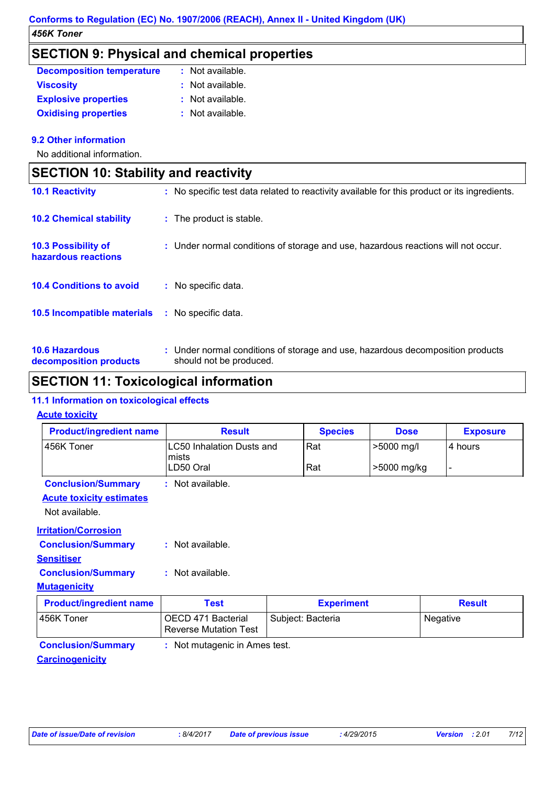## **SECTION 9: Physical and chemical properties**

| <b>Decomposition temperature</b> | : Not available.   |
|----------------------------------|--------------------|
| <b>Viscosity</b>                 | $:$ Not available. |
| <b>Explosive properties</b>      | $:$ Not available. |
| <b>Oxidising properties</b>      | : Not available.   |

#### **9.2 Other information**

No additional information.

| <b>SECTION 10: Stability and reactivity</b>       |                                                                                                           |  |
|---------------------------------------------------|-----------------------------------------------------------------------------------------------------------|--|
| <b>10.1 Reactivity</b>                            | : No specific test data related to reactivity available for this product or its ingredients.              |  |
| <b>10.2 Chemical stability</b>                    | : The product is stable.                                                                                  |  |
| <b>10.3 Possibility of</b><br>hazardous reactions | : Under normal conditions of storage and use, hazardous reactions will not occur.                         |  |
| <b>10.4 Conditions to avoid</b>                   | No specific data.                                                                                         |  |
| 10.5 Incompatible materials                       | : No specific data.                                                                                       |  |
| <b>10.6 Hazardous</b><br>decomposition products   | : Under normal conditions of storage and use, hazardous decomposition products<br>should not be produced. |  |

## **SECTION 11: Toxicological information**

#### **11.1 Information on toxicological effects**

#### **Acute toxicity**

| <b>Product/ingredient name</b>                             | <b>Result</b>                                      | <b>Species</b>    | <b>Dose</b> | <b>Exposure</b> |
|------------------------------------------------------------|----------------------------------------------------|-------------------|-------------|-----------------|
| 456K Toner                                                 | <b>LC50 Inhalation Dusts and</b><br>mists          | Rat               | >5000 mg/l  | 4 hours         |
|                                                            | LD50 Oral                                          | Rat               | >5000 mg/kg |                 |
| <b>Conclusion/Summary</b>                                  | $:$ Not available.                                 |                   |             |                 |
| <b>Acute toxicity estimates</b>                            |                                                    |                   |             |                 |
| Not available.                                             |                                                    |                   |             |                 |
| <b>Irritation/Corrosion</b>                                |                                                    |                   |             |                 |
| <b>Conclusion/Summary</b>                                  | $:$ Not available.                                 |                   |             |                 |
| <b>Sensitiser</b>                                          |                                                    |                   |             |                 |
| <b>Conclusion/Summary</b>                                  | : Not available.                                   |                   |             |                 |
| <b>Mutagenicity</b>                                        |                                                    |                   |             |                 |
| <b>Product/ingredient name</b>                             | <b>Test</b>                                        | <b>Experiment</b> |             | <b>Result</b>   |
| 456K Toner                                                 | OECD 471 Bacterial<br><b>Reverse Mutation Test</b> | Subject: Bacteria |             | Negative        |
| <b>Conclusion/Summary</b><br>: Not mutagenic in Ames test. |                                                    |                   |             |                 |

#### **Carcinogenicity**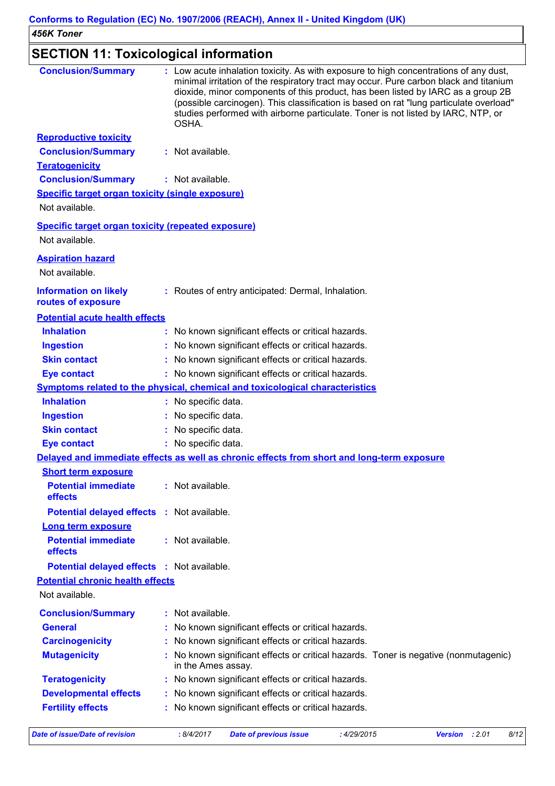#### **SECTION 11: Toxicological information Potential chronic health effects Potential acute health effects Inhalation :** No known significant effects or critical hazards. **Ingestion :** No known significant effects or critical hazards. **Skin contact :** No known significant effects or critical hazards. **Eye contact :** No known significant effects or critical hazards. **General :** No known significant effects or critical hazards. **Carcinogenicity :** No known significant effects or critical hazards. No known significant effects or critical hazards. Toner is negative (nonmutagenic) in the Ames assay. **Mutagenicity : Teratogenicity :** No known significant effects or critical hazards. Not available. **Conclusion/Summary :** Not available. **Conclusion/Summary :** Low acute inhalation toxicity. As with exposure to high concentrations of any dust, minimal irritation of the respiratory tract may occur. Pure carbon black and titanium dioxide, minor components of this product, has been listed by IARC as a group 2B (possible carcinogen). This classification is based on rat "lung particulate overload" studies performed with airborne particulate. Toner is not listed by IARC, NTP, or OSHA. **Teratogenicity Conclusion/Summary :** Not available. **Reproductive toxicity Conclusion/Summary :** Not available. **Developmental effects :** No known significant effects or critical hazards. **Fertility effects :** No known significant effects or critical hazards. **Symptoms related to the physical, chemical and toxicological characteristics Skin contact Ingestion Inhalation :** No specific data. No specific data. **:** No specific data. **: Eye contact :** No specific data. Routes of entry anticipated: Dermal, Inhalation. **: Specific target organ toxicity (single exposure) Specific target organ toxicity (repeated exposure) Aspiration hazard Information on likely routes of exposure Delayed and immediate effects as well as chronic effects from short and long-term exposure Short term exposure Long term exposure Potential immediate effects Potential delayed effects :** Not available. **:** Not available. **Potential immediate effects Potential delayed effects :** Not available. **:** Not available. Not available. Not available. Not available.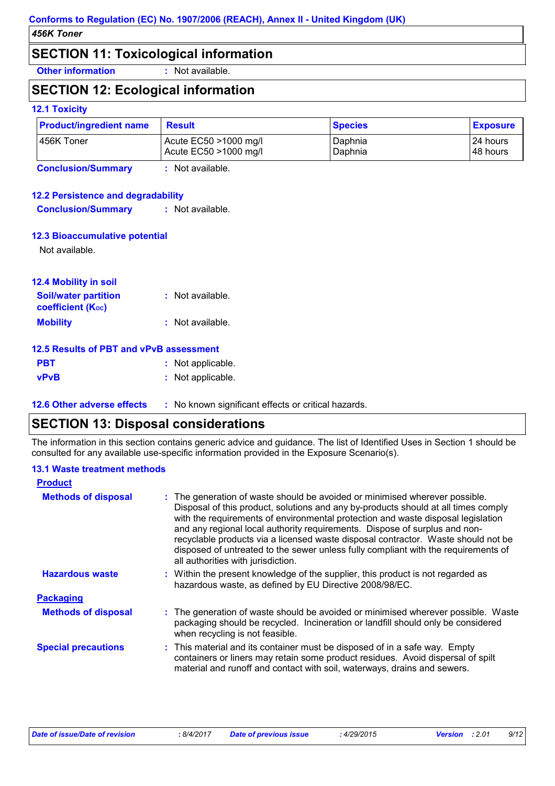### **SECTION 11: Toxicological information**

**Other information :** Not available.

## **SECTION 12: Ecological information**

#### **12.1 Toxicity**

| <b>Product/ingredient name</b> | <b>Result</b>                                  | <b>Species</b>     | <b>Exposure</b>       |
|--------------------------------|------------------------------------------------|--------------------|-----------------------|
| 456K Toner                     | Acute EC50 >1000 mg/l<br>Acute EC50 >1000 mg/l | Daphnia<br>Daphnia | 24 hours<br>I48 hours |
| <b>Conclusion/Summary</b>      | Not available.                                 |                    |                       |

#### **12.2 Persistence and degradability**

**Conclusion/Summary :** Not available.

#### **12.3 Bioaccumulative potential**

Not available.

| 12.4 Mobility in soil                                   |                  |
|---------------------------------------------------------|------------------|
| <b>Soil/water partition</b><br><b>coefficient (Koc)</b> | : Not available. |
| <b>Mobility</b>                                         | : Not available. |

#### **12.5 Results of PBT and vPvB assessment**

| <b>PBT</b>  | : Not applicable. |
|-------------|-------------------|
| <b>vPvB</b> | : Not applicable. |

**12.6 Other adverse effects** : No known significant effects or critical hazards.

## **SECTION 13: Disposal considerations**

The information in this section contains generic advice and guidance. The list of Identified Uses in Section 1 should be consulted for any available use-specific information provided in the Exposure Scenario(s).

#### **13.1 Waste treatment methods**

| <b>Product</b>             |                                                                                                                                                                                                                                                                                                                                                                                                                                                                                                                                                      |
|----------------------------|------------------------------------------------------------------------------------------------------------------------------------------------------------------------------------------------------------------------------------------------------------------------------------------------------------------------------------------------------------------------------------------------------------------------------------------------------------------------------------------------------------------------------------------------------|
| <b>Methods of disposal</b> | : The generation of waste should be avoided or minimised wherever possible.<br>Disposal of this product, solutions and any by-products should at all times comply<br>with the requirements of environmental protection and waste disposal legislation<br>and any regional local authority requirements. Dispose of surplus and non-<br>recyclable products via a licensed waste disposal contractor. Waste should not be<br>disposed of untreated to the sewer unless fully compliant with the requirements of<br>all authorities with jurisdiction. |
| <b>Hazardous waste</b>     | : Within the present knowledge of the supplier, this product is not regarded as<br>hazardous waste, as defined by EU Directive 2008/98/EC.                                                                                                                                                                                                                                                                                                                                                                                                           |
| <b>Packaging</b>           |                                                                                                                                                                                                                                                                                                                                                                                                                                                                                                                                                      |
| <b>Methods of disposal</b> | : The generation of waste should be avoided or minimised wherever possible. Waste<br>packaging should be recycled. Incineration or landfill should only be considered<br>when recycling is not feasible.                                                                                                                                                                                                                                                                                                                                             |
| <b>Special precautions</b> | : This material and its container must be disposed of in a safe way. Empty<br>containers or liners may retain some product residues. Avoid dispersal of spilt<br>material and runoff and contact with soil, waterways, drains and sewers.                                                                                                                                                                                                                                                                                                            |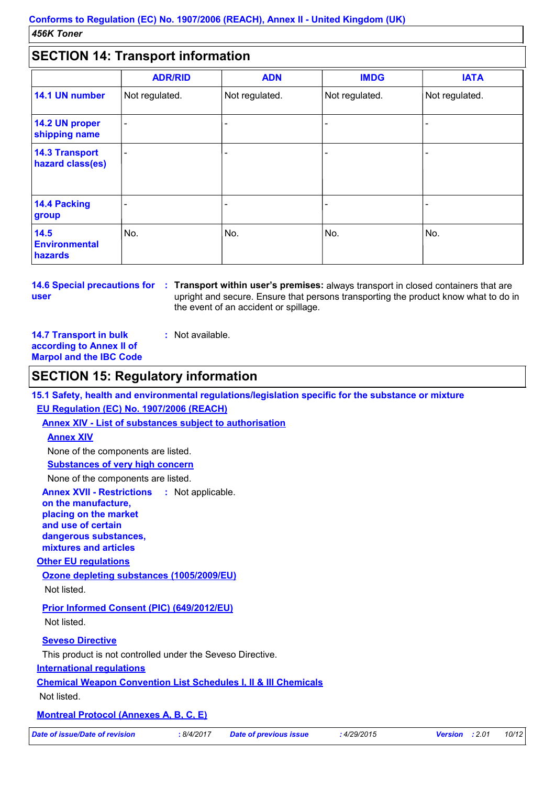## **SECTION 14: Transport information**

| <u>ULUITUITETTUUDEULIINUITIILUUT</u>      |                |                |                |                |
|-------------------------------------------|----------------|----------------|----------------|----------------|
|                                           | <b>ADR/RID</b> | <b>ADN</b>     | <b>IMDG</b>    | <b>IATA</b>    |
| 14.1 UN number                            | Not regulated. | Not regulated. | Not regulated. | Not regulated. |
| 14.2 UN proper<br>shipping name           |                |                |                |                |
| <b>14.3 Transport</b><br>hazard class(es) |                |                |                |                |
| 14.4 Packing<br>group                     |                |                |                |                |
| 14.5<br><b>Environmental</b><br>hazards   | No.            | No.            | No.            | No.            |

**user**

**14.6 Special precautions for : Transport within user's premises: always transport in closed containers that are** upright and secure. Ensure that persons transporting the product know what to do in the event of an accident or spillage.

**14.7 Transport in bulk according to Annex II of Marpol and the IBC Code :** Not available.

### **SECTION 15: Regulatory information**

**15.1 Safety, health and environmental regulations/legislation specific for the substance or mixture**

#### **EU Regulation (EC) No. 1907/2006 (REACH)**

**Annex XIV - List of substances subject to authorisation**

#### **Annex XIV**

None of the components are listed.

**Substances of very high concern**

None of the components are listed.

**Annex XVII - Restrictions on the manufacture, placing on the market and use of certain dangerous substances, mixtures and articles** : Not applicable.

#### **Other EU regulations**

**Ozone depleting substances (1005/2009/EU)** Not listed.

**Prior Informed Consent (PIC) (649/2012/EU)** Not listed.

**Seveso Directive**

This product is not controlled under the Seveso Directive.

#### **International regulations**

**Chemical Weapon Convention List Schedules I, II & III Chemicals**

Not listed.

#### **Montreal Protocol (Annexes A, B, C, E)**

*Date of issue/Date of revision* **:** *8/4/2017 Date of previous issue : 4/29/2015 Version : 2.01 10/12*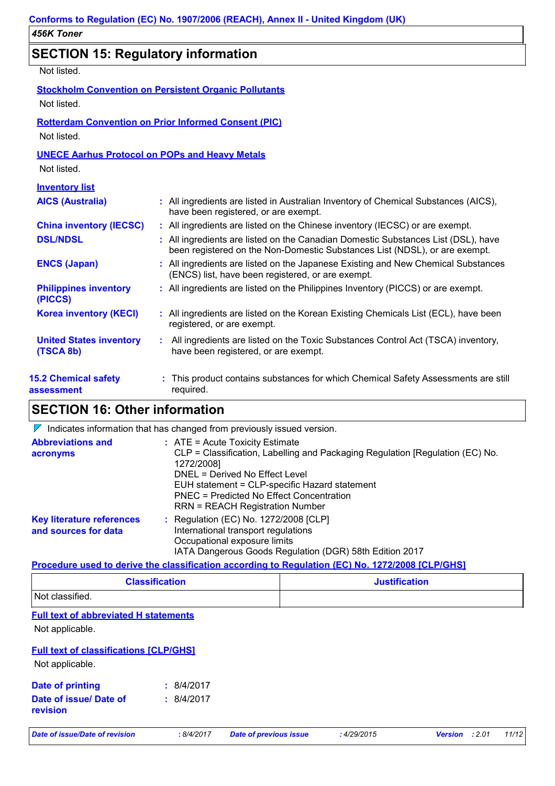## **SECTION 15: Regulatory information**

Not listed.

| Not listed.                                 | <b>Stockholm Convention on Persistent Organic Pollutants</b>                                                                                                    |
|---------------------------------------------|-----------------------------------------------------------------------------------------------------------------------------------------------------------------|
| Not listed.                                 | <b>Rotterdam Convention on Prior Informed Consent (PIC)</b>                                                                                                     |
| Not listed.                                 | <b>UNECE Aarhus Protocol on POPs and Heavy Metals</b>                                                                                                           |
| <b>Inventory list</b>                       |                                                                                                                                                                 |
| <b>AICS (Australia)</b>                     | : All ingredients are listed in Australian Inventory of Chemical Substances (AICS),<br>have been registered, or are exempt.                                     |
| <b>China inventory (IECSC)</b>              | : All ingredients are listed on the Chinese inventory (IECSC) or are exempt.                                                                                    |
| <b>DSL/NDSL</b>                             | : All ingredients are listed on the Canadian Domestic Substances List (DSL), have<br>been registered on the Non-Domestic Substances List (NDSL), or are exempt. |
| <b>ENCS (Japan)</b>                         | : All ingredients are listed on the Japanese Existing and New Chemical Substances<br>(ENCS) list, have been registered, or are exempt.                          |
| <b>Philippines inventory</b><br>(PICCS)     | : All ingredients are listed on the Philippines Inventory (PICCS) or are exempt.                                                                                |
| <b>Korea inventory (KECI)</b>               | : All ingredients are listed on the Korean Existing Chemicals List (ECL), have been<br>registered, or are exempt.                                               |
| <b>United States inventory</b><br>(TSCA 8b) | All ingredients are listed on the Toxic Substances Control Act (TSCA) inventory,<br>have been registered, or are exempt.                                        |
| <b>15.2 Chemical safety</b><br>assessment   | This product contains substances for which Chemical Safety Assessments are still<br>required.                                                                   |

## **SECTION 16: Other information**

 $\nabla$  Indicates information that has changed from previously issued version.

| <b>Abbreviations and</b><br>acronyms                     | $:$ ATE = Acute Toxicity Estimate<br>CLP = Classification, Labelling and Packaging Regulation [Regulation (EC) No.<br>1272/2008]<br>DNEL = Derived No Effect Level<br>EUH statement = CLP-specific Hazard statement<br><b>PNEC = Predicted No Effect Concentration</b><br><b>RRN = REACH Registration Number</b> |
|----------------------------------------------------------|------------------------------------------------------------------------------------------------------------------------------------------------------------------------------------------------------------------------------------------------------------------------------------------------------------------|
| <b>Key literature references</b><br>and sources for data | $\therefore$ Regulation (EC) No. 1272/2008 [CLP]<br>International transport regulations<br>Occupational exposure limits<br>IATA Dangerous Goods Regulation (DGR) 58th Edition 2017                                                                                                                               |

#### **Procedure used to derive the classification according to Regulation (EC) No. 1272/2008 [CLP/GHS]**

| <b>Classification</b> | <b>Justification</b> |
|-----------------------|----------------------|
| Not classified.       |                      |

#### **Full text of abbreviated H statements**

Not applicable.

#### **Full text of classifications [CLP/GHS]**

Not applicable.

| Date of printing                          | : 8/4/2017 |
|-------------------------------------------|------------|
| Date of issue/ Date of<br><b>revision</b> | : 8/4/2017 |

*Date of issue/Date of revision* **:** *8/4/2017 Date of previous issue : 4/29/2015 Version : 2.01 11/12*